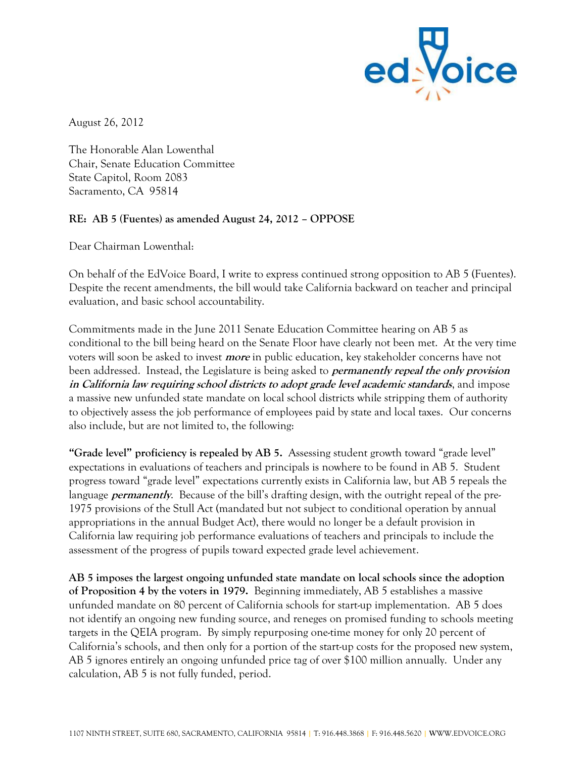

August 26, 2012

The Honorable Alan Lowenthal Chair, Senate Education Committee State Capitol, Room 2083 Sacramento, CA 95814

## **RE: AB 5 (Fuentes) as amended August 24, 2012 – OPPOSE**

Dear Chairman Lowenthal:

On behalf of the EdVoice Board, I write to express continued strong opposition to AB 5 (Fuentes). Despite the recent amendments, the bill would take California backward on teacher and principal evaluation, and basic school accountability.

Commitments made in the June 2011 Senate Education Committee hearing on AB 5 as conditional to the bill being heard on the Senate Floor have clearly not been met. At the very time voters will soon be asked to invest **more** in public education, key stakeholder concerns have not been addressed. Instead, the Legislature is being asked to **permanently repeal the only provision in California law requiring school districts to adopt grade level academic standards**, and impose a massive new unfunded state mandate on local school districts while stripping them of authority to objectively assess the job performance of employees paid by state and local taxes. Our concerns also include, but are not limited to, the following:

**"Grade level" proficiency is repealed by AB 5.** Assessing student growth toward "grade level" expectations in evaluations of teachers and principals is nowhere to be found in AB 5. Student progress toward "grade level" expectations currently exists in California law, but AB 5 repeals the language *permanently*. Because of the bill's drafting design, with the outright repeal of the pre-1975 provisions of the Stull Act (mandated but not subject to conditional operation by annual appropriations in the annual Budget Act), there would no longer be a default provision in California law requiring job performance evaluations of teachers and principals to include the assessment of the progress of pupils toward expected grade level achievement.

**AB 5 imposes the largest ongoing unfunded state mandate on local schools since the adoption of Proposition 4 by the voters in 1979.** Beginning immediately, AB 5 establishes a massive unfunded mandate on 80 percent of California schools for start-up implementation. AB 5 does not identify an ongoing new funding source, and reneges on promised funding to schools meeting targets in the QEIA program. By simply repurposing one-time money for only 20 percent of California's schools, and then only for a portion of the start-up costs for the proposed new system, AB 5 ignores entirely an ongoing unfunded price tag of over \$100 million annually. Under any calculation, AB 5 is not fully funded, period.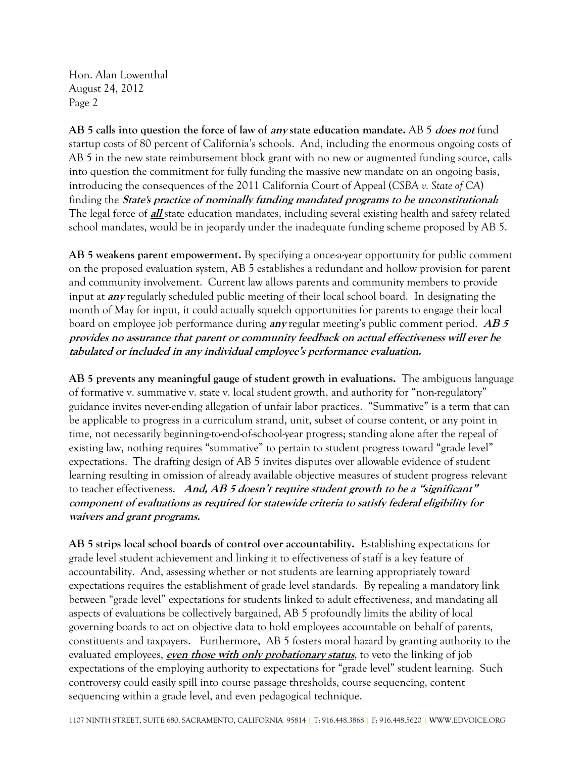Hon. Alan Lowenthal August 24, 2012 Page 2

**AB 5 calls into question the force of law of any state education mandate.** AB 5 **does not** fund startup costs of 80 percent of California's schools. And, including the enormous ongoing costs of AB 5 in the new state reimbursement block grant with no new or augmented funding source, calls into question the commitment for fully funding the massive new mandate on an ongoing basis, introducing the consequences of the 2011 California Court of Appeal (*CSBA v. State of CA*) finding the **State's practice of nominally funding mandated programs to be unconstitutional:**  The legal force of **all** state education mandates, including several existing health and safety related school mandates, would be in jeopardy under the inadequate funding scheme proposed by AB 5.

**AB 5 weakens parent empowerment.** By specifying a once-a-year opportunity for public comment on the proposed evaluation system, AB 5 establishes a redundant and hollow provision for parent and community involvement. Current law allows parents and community members to provide input at **any** regularly scheduled public meeting of their local school board. In designating the month of May for input, it could actually squelch opportunities for parents to engage their local board on employee job performance during **any** regular meeting's public comment period. **AB 5 provides no assurance that parent or community feedback on actual effectiveness will ever be tabulated or included in any individual employee's performance evaluation.**

**AB 5 prevents any meaningful gauge of student growth in evaluations.** The ambiguous language of formative v. summative v. state v. local student growth, and authority for "non-regulatory" guidance invites never-ending allegation of unfair labor practices. "Summative" is a term that can be applicable to progress in a curriculum strand, unit, subset of course content, or any point in time, not necessarily beginning-to-end-of-school-year progress; standing alone after the repeal of existing law, nothing requires "summative" to pertain to student progress toward "grade level" expectations. The drafting design of AB 5 invites disputes over allowable evidence of student learning resulting in omission of already available objective measures of student progress relevant to teacher effectiveness. **And, AB 5 doesn't require student growth to be a "significant" component of evaluations as required for statewide criteria to satisfy federal eligibility for waivers and grant programs.** 

**AB 5 strips local school boards of control over accountability.** Establishing expectations for grade level student achievement and linking it to effectiveness of staff is a key feature of accountability. And, assessing whether or not students are learning appropriately toward expectations requires the establishment of grade level standards. By repealing a mandatory link between "grade level" expectations for students linked to adult effectiveness, and mandating all aspects of evaluations be collectively bargained, AB 5 profoundly limits the ability of local governing boards to act on objective data to hold employees accountable on behalf of parents, constituents and taxpayers. Furthermore, AB 5 fosters moral hazard by granting authority to the evaluated employees, **even those with only probationary status**, to veto the linking of job expectations of the employing authority to expectations for "grade level" student learning. Such controversy could easily spill into course passage thresholds, course sequencing, content sequencing within a grade level, and even pedagogical technique.